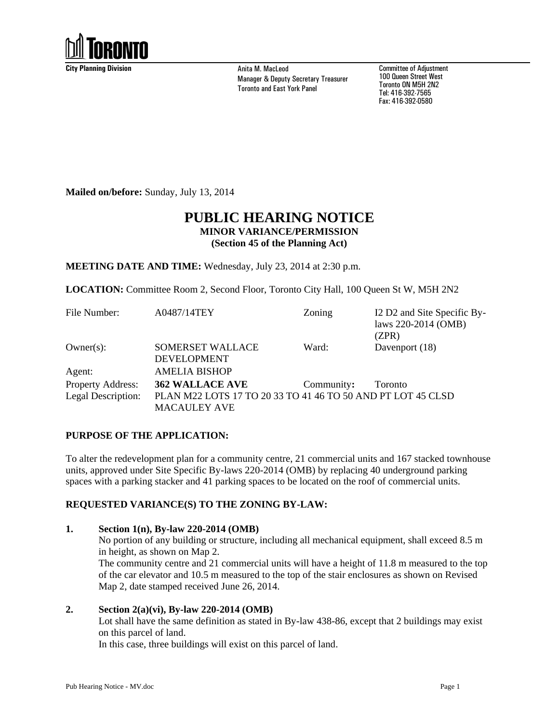

**City Planning Division Anita M. MacLeod** Manager & Deputy Secretary Treasurer Toronto and East York Panel

Committee of Adjustment 100 Queen Street West Toronto ON M5H 2N2 Tel: 416-392-7565 Fax: 416-392-0580

**Mailed on/before:** Sunday, July 13, 2014

# **PUBLIC HEARING NOTICE MINOR VARIANCE/PERMISSION (Section 45 of the Planning Act)**

**MEETING DATE AND TIME:** Wednesday, July 23, 2014 at 2:30 p.m.

**LOCATION:** Committee Room 2, Second Floor, Toronto City Hall, 100 Queen St W, M5H 2N2

| File Number:       | A0487/14TEY                                                 | Zoning     | I2 D2 and Site Specific By-<br>laws 220-2014 (OMB)<br>(ZPR) |
|--------------------|-------------------------------------------------------------|------------|-------------------------------------------------------------|
| $Owner(s)$ :       | <b>SOMERSET WALLACE</b>                                     | Ward:      | Davenport (18)                                              |
|                    | <b>DEVELOPMENT</b>                                          |            |                                                             |
| Agent:             | <b>AMELIA BISHOP</b>                                        |            |                                                             |
| Property Address:  | <b>362 WALLACE AVE</b>                                      | Community: | Toronto                                                     |
| Legal Description: | PLAN M22 LOTS 17 TO 20 33 TO 41 46 TO 50 AND PT LOT 45 CLSD |            |                                                             |
|                    | MACAULEY AVE                                                |            |                                                             |

# **PURPOSE OF THE APPLICATION:**

To alter the redevelopment plan for a community centre, 21 commercial units and 167 stacked townhouse units, approved under Site Specific By-laws 220-2014 (OMB) by replacing 40 underground parking spaces with a parking stacker and 41 parking spaces to be located on the roof of commercial units.

# **REQUESTED VARIANCE(S) TO THE ZONING BY-LAW:**

#### **1. Section 1(n), By-law 220-2014 (OMB)**

No portion of any building or structure, including all mechanical equipment, shall exceed 8.5 m in height, as shown on Map 2.

The community centre and 21 commercial units will have a height of 11.8 m measured to the top of the car elevator and 10.5 m measured to the top of the stair enclosures as shown on Revised Map 2, date stamped received June 26, 2014.

#### **2. Section 2(a)(vi), By-law 220-2014 (OMB)**

Lot shall have the same definition as stated in By-law 438-86, except that 2 buildings may exist on this parcel of land.

In this case, three buildings will exist on this parcel of land.